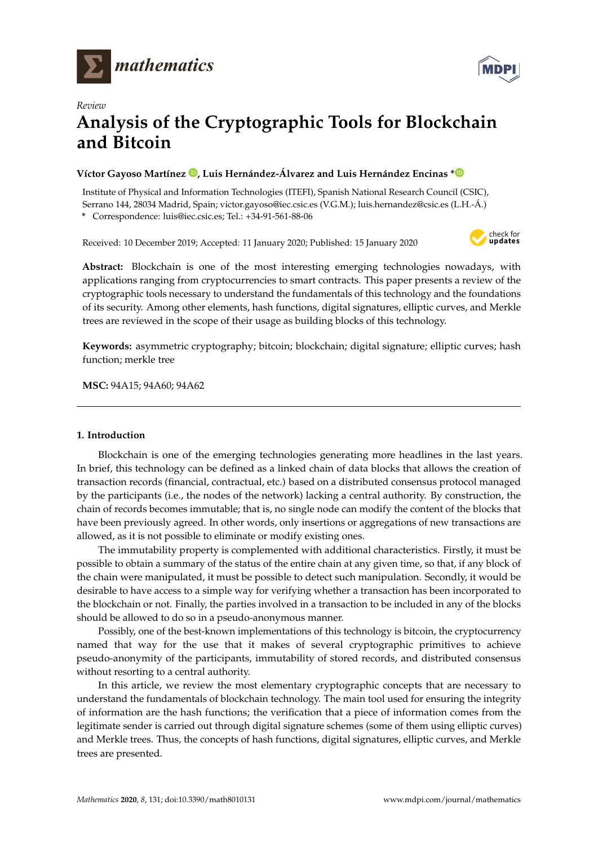

*Review*



# **Analysis of the Cryptographic Tools for Blockchain and Bitcoin**

# **Víctor Gayoso Martínez [,](https://orcid.org/0000-0002-1513-6029) Luis Hernández-Álvarez and Luis Hernández Encinas [\\*](https://orcid.org/0000-0001-6980-2683)**

Institute of Physical and Information Technologies (ITEFI), Spanish National Research Council (CSIC), Serrano 144, 28034 Madrid, Spain; victor.gayoso@iec.csic.es (V.G.M.); luis.hernandez@csic.es (L.H.-Á.)

**\*** Correspondence: luis@iec.csic.es; Tel.: +34-91-561-88-06

Received: 10 December 2019; Accepted: 11 January 2020; Published: 15 January 2020



**Abstract:** Blockchain is one of the most interesting emerging technologies nowadays, with applications ranging from cryptocurrencies to smart contracts. This paper presents a review of the cryptographic tools necessary to understand the fundamentals of this technology and the foundations of its security. Among other elements, hash functions, digital signatures, elliptic curves, and Merkle trees are reviewed in the scope of their usage as building blocks of this technology.

**Keywords:** asymmetric cryptography; bitcoin; blockchain; digital signature; elliptic curves; hash function; merkle tree

**MSC:** 94A15; 94A60; 94A62

## **1. Introduction**

Blockchain is one of the emerging technologies generating more headlines in the last years. In brief, this technology can be defined as a linked chain of data blocks that allows the creation of transaction records (financial, contractual, etc.) based on a distributed consensus protocol managed by the participants (i.e., the nodes of the network) lacking a central authority. By construction, the chain of records becomes immutable; that is, no single node can modify the content of the blocks that have been previously agreed. In other words, only insertions or aggregations of new transactions are allowed, as it is not possible to eliminate or modify existing ones.

The immutability property is complemented with additional characteristics. Firstly, it must be possible to obtain a summary of the status of the entire chain at any given time, so that, if any block of the chain were manipulated, it must be possible to detect such manipulation. Secondly, it would be desirable to have access to a simple way for verifying whether a transaction has been incorporated to the blockchain or not. Finally, the parties involved in a transaction to be included in any of the blocks should be allowed to do so in a pseudo-anonymous manner.

Possibly, one of the best-known implementations of this technology is bitcoin, the cryptocurrency named that way for the use that it makes of several cryptographic primitives to achieve pseudo-anonymity of the participants, immutability of stored records, and distributed consensus without resorting to a central authority.

In this article, we review the most elementary cryptographic concepts that are necessary to understand the fundamentals of blockchain technology. The main tool used for ensuring the integrity of information are the hash functions; the verification that a piece of information comes from the legitimate sender is carried out through digital signature schemes (some of them using elliptic curves) and Merkle trees. Thus, the concepts of hash functions, digital signatures, elliptic curves, and Merkle trees are presented.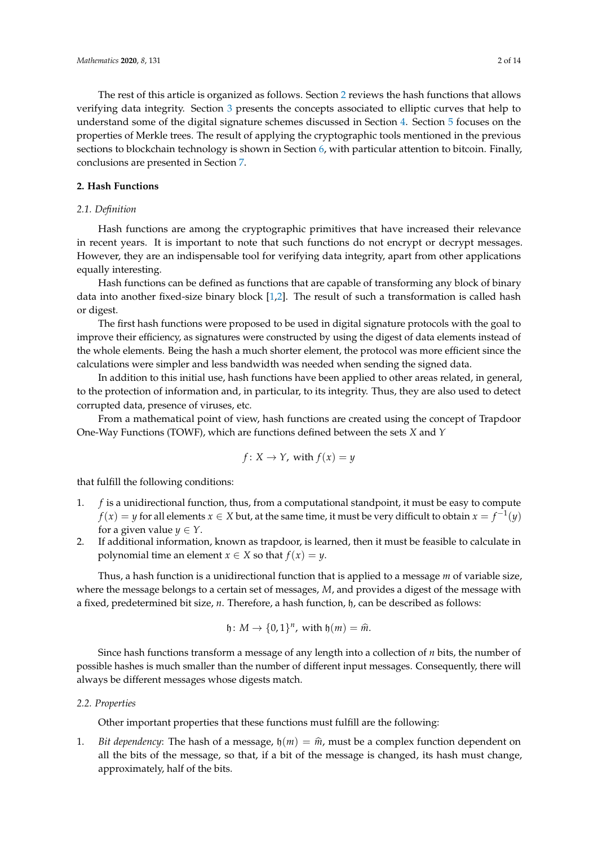The rest of this article is organized as follows. Section [2](#page-1-0) reviews the hash functions that allows verifying data integrity. Section [3](#page-2-0) presents the concepts associated to elliptic curves that help to understand some of the digital signature schemes discussed in Section [4.](#page-4-0) Section [5](#page-7-0) focuses on the properties of Merkle trees. The result of applying the cryptographic tools mentioned in the previous sections to blockchain technology is shown in Section [6,](#page-9-0) with particular attention to bitcoin. Finally, conclusions are presented in Section [7.](#page-11-0)

## <span id="page-1-0"></span>**2. Hash Functions**

## *2.1. Definition*

Hash functions are among the cryptographic primitives that have increased their relevance in recent years. It is important to note that such functions do not encrypt or decrypt messages. However, they are an indispensable tool for verifying data integrity, apart from other applications equally interesting.

Hash functions can be defined as functions that are capable of transforming any block of binary data into another fixed-size binary block [\[1](#page-12-0)[,2\]](#page-12-1). The result of such a transformation is called hash or digest.

The first hash functions were proposed to be used in digital signature protocols with the goal to improve their efficiency, as signatures were constructed by using the digest of data elements instead of the whole elements. Being the hash a much shorter element, the protocol was more efficient since the calculations were simpler and less bandwidth was needed when sending the signed data.

In addition to this initial use, hash functions have been applied to other areas related, in general, to the protection of information and, in particular, to its integrity. Thus, they are also used to detect corrupted data, presence of viruses, etc.

From a mathematical point of view, hash functions are created using the concept of Trapdoor One-Way Functions (TOWF), which are functions defined between the sets *X* and *Y*

$$
f: X \to Y
$$
, with  $f(x) = y$ 

that fulfill the following conditions:

- 1. *f* is a unidirectional function, thus, from a computational standpoint, it must be easy to compute  $f(x) = y$  for all elements  $x \in X$  but, at the same time, it must be very difficult to obtain  $x = f^{-1}(y)$ for a given value  $y \in Y$ .
- 2. If additional information, known as trapdoor, is learned, then it must be feasible to calculate in polynomial time an element *x*  $\in$  *X* so that *f*(*x*) = *y*.

Thus, a hash function is a unidirectional function that is applied to a message *m* of variable size, where the message belongs to a certain set of messages, *M*, and provides a digest of the message with a fixed, predetermined bit size, *n*. Therefore, a hash function, h, can be described as follows:

$$
\mathfrak{h}\colon M\to \{0,1\}^n, \text{ with } \mathfrak{h}(m)=\widehat{m}.
$$

Since hash functions transform a message of any length into a collection of *n* bits, the number of possible hashes is much smaller than the number of different input messages. Consequently, there will always be different messages whose digests match.

#### *2.2. Properties*

Other important properties that these functions must fulfill are the following:

<span id="page-1-1"></span>1. *Bit dependency*: The hash of a message,  $h(m) = \hat{m}$ , must be a complex function dependent on all the bits of the message, so that, if a bit of the message is changed, its hash must change, approximately, half of the bits.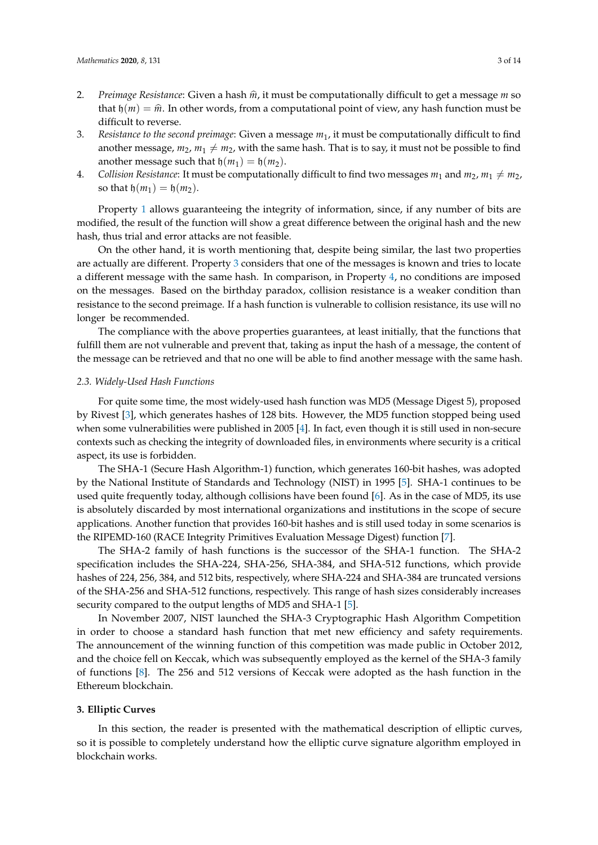- 2. *Preimage Resistance*: Given a hash  $\hat{m}$ , it must be computationally difficult to get a message *m* so that  $\phi(m) = \hat{m}$ . In other words, from a computational point of view, any hash function must be difficult to reverse.
- <span id="page-2-1"></span>3. *Resistance to the second preimage*: Given a message *m*1, it must be computationally difficult to find another message,  $m_2$ ,  $m_1 \neq m_2$ , with the same hash. That is to say, it must not be possible to find another message such that  $h(m_1) = h(m_2)$ .
- <span id="page-2-2"></span>4. *Collision Resistance*: It must be computationally difficult to find two messages  $m_1$  and  $m_2$ ,  $m_1 \neq m_2$ , so that  $\mathfrak{h}(m_1) = \mathfrak{h}(m_2)$ .

Property [1](#page-1-1) allows guaranteeing the integrity of information, since, if any number of bits are modified, the result of the function will show a great difference between the original hash and the new hash, thus trial and error attacks are not feasible.

On the other hand, it is worth mentioning that, despite being similar, the last two properties are actually are different. Property [3](#page-2-1) considers that one of the messages is known and tries to locate a different message with the same hash. In comparison, in Property [4,](#page-2-2) no conditions are imposed on the messages. Based on the birthday paradox, collision resistance is a weaker condition than resistance to the second preimage. If a hash function is vulnerable to collision resistance, its use will no longer be recommended.

The compliance with the above properties guarantees, at least initially, that the functions that fulfill them are not vulnerable and prevent that, taking as input the hash of a message, the content of the message can be retrieved and that no one will be able to find another message with the same hash.

#### *2.3. Widely-Used Hash Functions*

For quite some time, the most widely-used hash function was MD5 (Message Digest 5), proposed by Rivest [\[3\]](#page-12-2), which generates hashes of 128 bits. However, the MD5 function stopped being used when some vulnerabilities were published in 2005 [\[4\]](#page-12-3). In fact, even though it is still used in non-secure contexts such as checking the integrity of downloaded files, in environments where security is a critical aspect, its use is forbidden.

The SHA-1 (Secure Hash Algorithm-1) function, which generates 160-bit hashes, was adopted by the National Institute of Standards and Technology (NIST) in 1995 [\[5\]](#page-12-4). SHA-1 continues to be used quite frequently today, although collisions have been found [\[6\]](#page-12-5). As in the case of MD5, its use is absolutely discarded by most international organizations and institutions in the scope of secure applications. Another function that provides 160-bit hashes and is still used today in some scenarios is the RIPEMD-160 (RACE Integrity Primitives Evaluation Message Digest) function [\[7\]](#page-12-6).

The SHA-2 family of hash functions is the successor of the SHA-1 function. The SHA-2 specification includes the SHA-224, SHA-256, SHA-384, and SHA-512 functions, which provide hashes of 224, 256, 384, and 512 bits, respectively, where SHA-224 and SHA-384 are truncated versions of the SHA-256 and SHA-512 functions, respectively. This range of hash sizes considerably increases security compared to the output lengths of MD5 and SHA-1 [\[5\]](#page-12-4).

In November 2007, NIST launched the SHA-3 Cryptographic Hash Algorithm Competition in order to choose a standard hash function that met new efficiency and safety requirements. The announcement of the winning function of this competition was made public in October 2012, and the choice fell on Keccak, which was subsequently employed as the kernel of the SHA-3 family of functions [\[8\]](#page-12-7). The 256 and 512 versions of Keccak were adopted as the hash function in the Ethereum blockchain.

## <span id="page-2-0"></span>**3. Elliptic Curves**

In this section, the reader is presented with the mathematical description of elliptic curves, so it is possible to completely understand how the elliptic curve signature algorithm employed in blockchain works.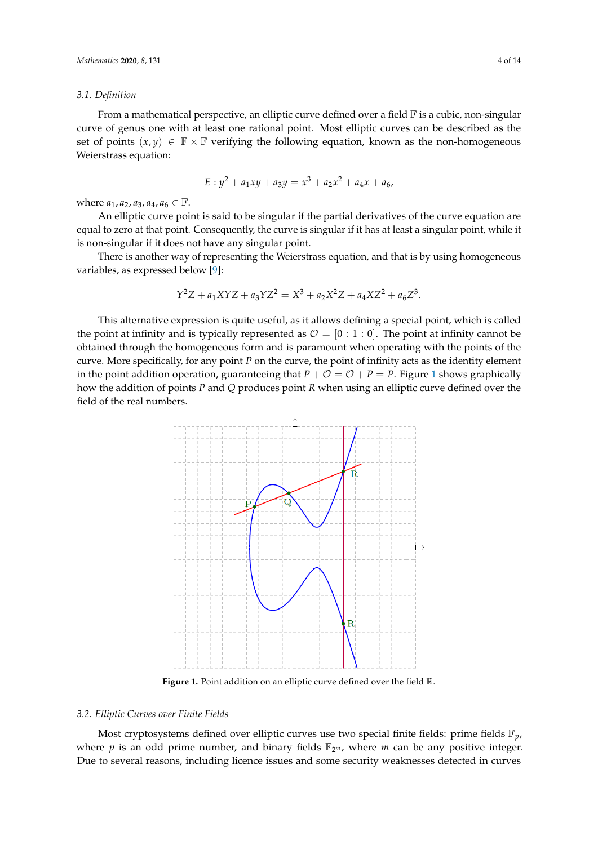#### *3.1. Definition*

From a mathematical perspective, an elliptic curve defined over a field  $\mathbb F$  is a cubic, non-singular curve of genus one with at least one rational point. Most elliptic curves can be described as the set of points  $(x, y) \in \mathbb{F} \times \mathbb{F}$  verifying the following equation, known as the non-homogeneous Weierstrass equation:

$$
E: y^2 + a_1xy + a_3y = x^3 + a_2x^2 + a_4x + a_6
$$

where  $a_1, a_2, a_3, a_4, a_6 \in \mathbb{F}$ .

An elliptic curve point is said to be singular if the partial derivatives of the curve equation are equal to zero at that point. Consequently, the curve is singular if it has at least a singular point, while it is non-singular if it does not have any singular point.

There is another way of representing the Weierstrass equation, and that is by using homogeneous variables, as expressed below [\[9\]](#page-12-8):

$$
Y^2Z + a_1XYZ + a_3YZ^2 = X^3 + a_2X^2Z + a_4XZ^2 + a_6Z^3.
$$

This alternative expression is quite useful, as it allows defining a special point, which is called the point at infinity and is typically represented as  $\mathcal{O} = [0:1:0]$ . The point at infinity cannot be obtained through the homogeneous form and is paramount when operating with the points of the curve. More specifically, for any point *P* on the curve, the point of infinity acts as the identity element in the point addition operation, guaranteeing that  $P + \mathcal{O} = \mathcal{O} + P = P$ . Figure [1](#page-3-0) shows graphically how the addition of points *P* and *Q* produces point *R* when using an elliptic curve defined over the field of the real numbers.

<span id="page-3-0"></span>

**Figure 1.** Point addition on an elliptic curve defined over the field R.

#### *3.2. Elliptic Curves over Finite Fields*

Most cryptosystems defined over elliptic curves use two special finite fields: prime fields F*p*, where  $p$  is an odd prime number, and binary fields  $\mathbb{F}_{2^m}$ , where  $m$  can be any positive integer. Due to several reasons, including licence issues and some security weaknesses detected in curves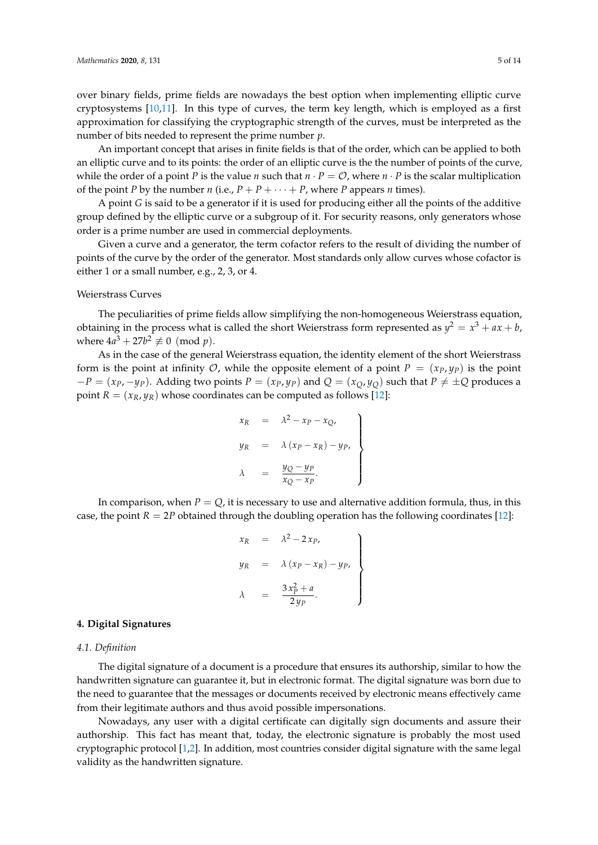over binary fields, prime fields are nowadays the best option when implementing elliptic curve cryptosystems [\[10](#page-12-9)[,11\]](#page-12-10). In this type of curves, the term key length, which is employed as a first approximation for classifying the cryptographic strength of the curves, must be interpreted as the number of bits needed to represent the prime number *p*.

An important concept that arises in finite fields is that of the order, which can be applied to both an elliptic curve and to its points: the order of an elliptic curve is the the number of points of the curve, while the order of a point *P* is the value *n* such that  $n \cdot P = \mathcal{O}$ , where  $n \cdot P$  is the scalar multiplication of the point *P* by the number *n* (i.e.,  $P + P + \cdots + P$ , where *P* appears *n* times).

A point *G* is said to be a generator if it is used for producing either all the points of the additive group defined by the elliptic curve or a subgroup of it. For security reasons, only generators whose order is a prime number are used in commercial deployments.

Given a curve and a generator, the term cofactor refers to the result of dividing the number of points of the curve by the order of the generator. Most standards only allow curves whose cofactor is either 1 or a small number, e.g., 2, 3, or 4.

#### Weierstrass Curves

The peculiarities of prime fields allow simplifying the non-homogeneous Weierstrass equation, obtaining in the process what is called the short Weierstrass form represented as  $y^2 = x^3 + ax + b$ , where  $4a^3 + 27b^2 \not\equiv 0 \pmod{p}$ .

As in the case of the general Weierstrass equation, the identity element of the short Weierstrass form is the point at infinity  $\mathcal{O}$ , while the opposite element of a point  $P = (x_P, y_P)$  is the point  $-P = (x_P, -y_P)$ . Adding two points  $P = (x_P, y_P)$  and  $Q = (x_Q, y_Q)$  such that  $P \neq \pm Q$  produces a point  $R = (x_R, y_R)$  whose coordinates can be computed as follows [\[12\]](#page-12-11):

$$
x_R = \lambda^2 - x_P - x_Q,
$$
  
\n
$$
y_R = \lambda (x_P - x_R) - y_P,
$$
  
\n
$$
\lambda = \frac{y_Q - y_P}{x_Q - x_P}.
$$

In comparison, when  $P = Q$ , it is necessary to use and alternative addition formula, thus, in this case, the point  $R = 2P$  obtained through the doubling operation has the following coordinates [\[12\]](#page-12-11):

$$
x_R = \lambda^2 - 2x_P,
$$
  
\n
$$
y_R = \lambda (x_P - x_R) - y_P,
$$
  
\n
$$
\lambda = \frac{3x_P^2 + a}{2y_P}.
$$

#### <span id="page-4-0"></span>**4. Digital Signatures**

## *4.1. Definition*

The digital signature of a document is a procedure that ensures its authorship, similar to how the handwritten signature can guarantee it, but in electronic format. The digital signature was born due to the need to guarantee that the messages or documents received by electronic means effectively came from their legitimate authors and thus avoid possible impersonations.

Nowadays, any user with a digital certificate can digitally sign documents and assure their authorship. This fact has meant that, today, the electronic signature is probably the most used cryptographic protocol [\[1,](#page-12-0)[2\]](#page-12-1). In addition, most countries consider digital signature with the same legal validity as the handwritten signature.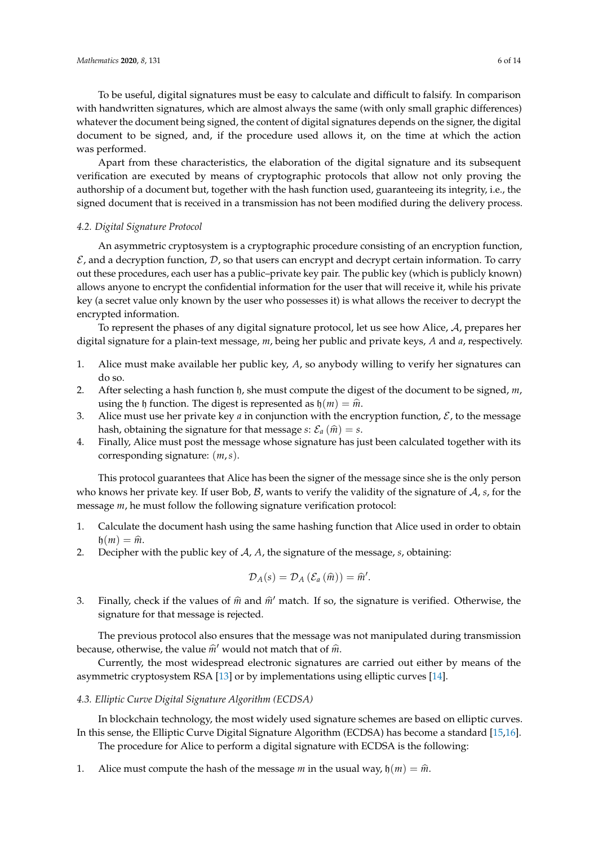To be useful, digital signatures must be easy to calculate and difficult to falsify. In comparison with handwritten signatures, which are almost always the same (with only small graphic differences) whatever the document being signed, the content of digital signatures depends on the signer, the digital document to be signed, and, if the procedure used allows it, on the time at which the action was performed.

Apart from these characteristics, the elaboration of the digital signature and its subsequent verification are executed by means of cryptographic protocols that allow not only proving the authorship of a document but, together with the hash function used, guaranteeing its integrity, i.e., the signed document that is received in a transmission has not been modified during the delivery process.

#### *4.2. Digital Signature Protocol*

An asymmetric cryptosystem is a cryptographic procedure consisting of an encryption function,  $\mathcal E$ , and a decryption function,  $\mathcal D$ , so that users can encrypt and decrypt certain information. To carry out these procedures, each user has a public–private key pair. The public key (which is publicly known) allows anyone to encrypt the confidential information for the user that will receive it, while his private key (a secret value only known by the user who possesses it) is what allows the receiver to decrypt the encrypted information.

To represent the phases of any digital signature protocol, let us see how Alice, A, prepares her digital signature for a plain-text message, *m*, being her public and private keys, *A* and *a*, respectively.

- 1. Alice must make available her public key, *A*, so anybody willing to verify her signatures can do so.
- 2. After selecting a hash function h, she must compute the digest of the document to be signed, *m*, using the h function. The digest is represented as  $h(m) = \hat{m}$ .
- 3. Alice must use her private key *a* in conjunction with the encryption function,  $\mathcal{E}$ , to the message hash, obtaining the signature for that message *s*:  $\mathcal{E}_a(\hat{m}) = s$ .
- 4. Finally, Alice must post the message whose signature has just been calculated together with its corresponding signature: (*m*,*s*).

This protocol guarantees that Alice has been the signer of the message since she is the only person who knows her private key. If user Bob, B, wants to verify the validity of the signature of A, *s*, for the message *m*, he must follow the following signature verification protocol:

- 1. Calculate the document hash using the same hashing function that Alice used in order to obtain  $\mathfrak{h}(m) = \widehat{m}.$
- 2. Decipher with the public key of A, *A*, the signature of the message, *s*, obtaining:

$$
\mathcal{D}_A(s)=\mathcal{D}_A\left(\mathcal{E}_a\left(\widehat{m}\right)\right)=\widehat{m}'.
$$

3. Finally, check if the values of  $\hat{m}$  and  $\hat{m}'$  match. If so, the signature is verified. Otherwise, the signature for that message is rejected.

The previous protocol also ensures that the message was not manipulated during transmission because, otherwise, the value  $\hat{m}$ <sup>t</sup> would not match that of  $\hat{m}$ .

Currently, the most widespread electronic signatures are carried out either by means of the asymmetric cryptosystem RSA [\[13\]](#page-12-12) or by implementations using elliptic curves [\[14\]](#page-12-13).

#### <span id="page-5-0"></span>*4.3. Elliptic Curve Digital Signature Algorithm (ECDSA)*

In blockchain technology, the most widely used signature schemes are based on elliptic curves. In this sense, the Elliptic Curve Digital Signature Algorithm (ECDSA) has become a standard [\[15](#page-13-0)[,16\]](#page-13-1).

The procedure for Alice to perform a digital signature with ECDSA is the following:

1. Alice must compute the hash of the message *m* in the usual way,  $h(m) = \hat{m}$ .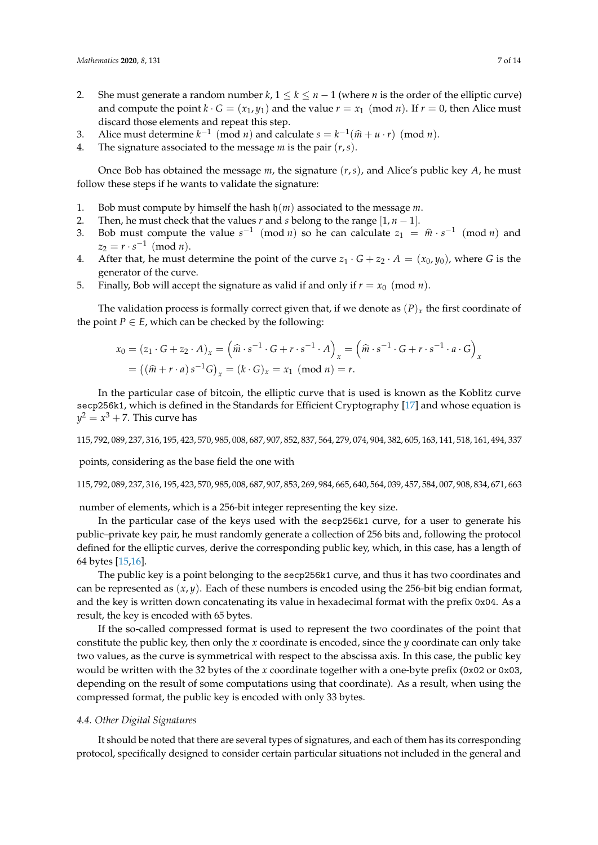- 2. She must generate a random number  $k, 1 \leq k \leq n-1$  (where *n* is the order of the elliptic curve) and compute the point  $k \cdot G = (x_1, y_1)$  and the value  $r = x_1 \pmod{n}$ . If  $r = 0$ , then Alice must discard those elements and repeat this step.
- 3. Alice must determine  $k^{-1}$  (mod *n*) and calculate  $s = k^{-1}(\hat{m} + u \cdot r)$  (mod *n*).
- 4. The signature associated to the message *m* is the pair (*r*,*s*).

Once Bob has obtained the message *m*, the signature (*r*,*s*), and Alice's public key *A*, he must follow these steps if he wants to validate the signature:

- 1. Bob must compute by himself the hash h(*m*) associated to the message *m*.
- 2. Then, he must check that the values  $r$  and  $s$  belong to the range  $[1, n 1]$ .
- 3. Bob must compute the value  $s^{-1} \pmod{n}$  so he can calculate  $z_1 = \hat{m} \cdot s^{-1} \pmod{n}$  and  $z_2 = r \cdot s^{-1} \pmod{n}.$
- 4. After that, he must determine the point of the curve  $z_1 \cdot G + z_2 \cdot A = (x_0, y_0)$ , where *G* is the generator of the curve.
- 5. Finally, Bob will accept the signature as valid if and only if  $r = x_0 \pmod{n}$ .

The validation process is formally correct given that, if we denote as  $(P)_x$  the first coordinate of the point *P*  $\in$  *E*, which can be checked by the following:

$$
x_0 = (z_1 \cdot G + z_2 \cdot A)_x = \left(\widehat{m} \cdot s^{-1} \cdot G + r \cdot s^{-1} \cdot A\right)_x = \left(\widehat{m} \cdot s^{-1} \cdot G + r \cdot s^{-1} \cdot a \cdot G\right)_x
$$

$$
= \left((\widehat{m} + r \cdot a) s^{-1} G\right)_x = (k \cdot G)_x = x_1 \pmod{n} = r.
$$

In the particular case of bitcoin, the elliptic curve that is used is known as the Koblitz curve secp256k1, which is defined in the Standards for Efficient Cryptography [\[17\]](#page-13-2) and whose equation is  $y^2=x^3+7.$  This curve has

115, 792, 089, 237, 316, 195, 423, 570, 985, 008, 687, 907, 852, 837, 564, 279, 074, 904, 382, 605, 163, 141, 518, 161, 494, 337

points, considering as the base field the one with

#### 115, 792, 089, 237, 316, 195, 423, 570, 985, 008, 687, 907, 853, 269, 984, 665, 640, 564, 039, 457, 584, 007, 908, 834, 671, 663

number of elements, which is a 256-bit integer representing the key size.

In the particular case of the keys used with the secp256k1 curve, for a user to generate his public–private key pair, he must randomly generate a collection of 256 bits and, following the protocol defined for the elliptic curves, derive the corresponding public key, which, in this case, has a length of 64 bytes [\[15,](#page-13-0)[16\]](#page-13-1).

The public key is a point belonging to the secp256k1 curve, and thus it has two coordinates and can be represented as (*x*, *y*). Each of these numbers is encoded using the 256-bit big endian format, and the key is written down concatenating its value in hexadecimal format with the prefix 0x04. As a result, the key is encoded with 65 bytes.

If the so-called compressed format is used to represent the two coordinates of the point that constitute the public key, then only the *x* coordinate is encoded, since the *y* coordinate can only take two values, as the curve is symmetrical with respect to the abscissa axis. In this case, the public key would be written with the 32 bytes of the *x* coordinate together with a one-byte prefix (0x02 or 0x03, depending on the result of some computations using that coordinate). As a result, when using the compressed format, the public key is encoded with only 33 bytes.

## *4.4. Other Digital Signatures*

It should be noted that there are several types of signatures, and each of them has its corresponding protocol, specifically designed to consider certain particular situations not included in the general and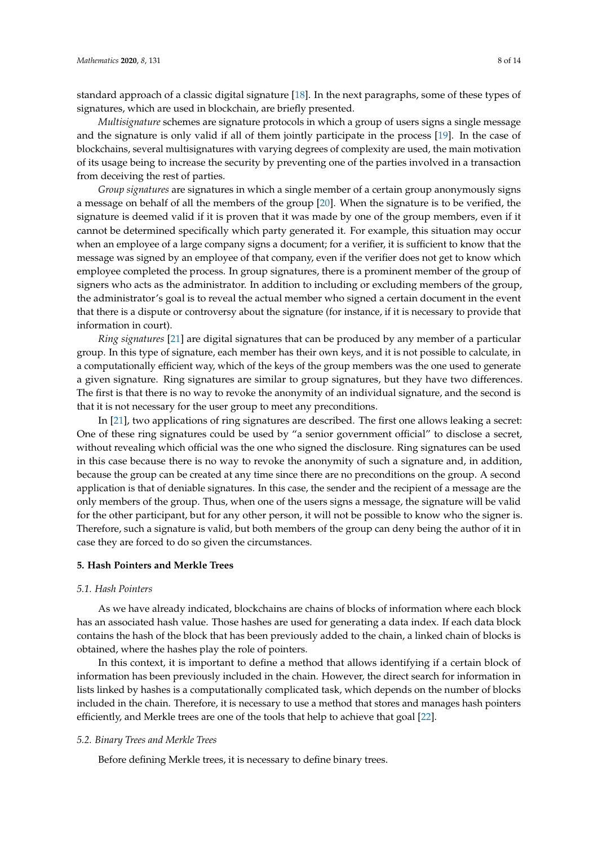standard approach of a classic digital signature [\[18\]](#page-13-3). In the next paragraphs, some of these types of signatures, which are used in blockchain, are briefly presented.

*Multisignature* schemes are signature protocols in which a group of users signs a single message and the signature is only valid if all of them jointly participate in the process [\[19\]](#page-13-4). In the case of blockchains, several multisignatures with varying degrees of complexity are used, the main motivation of its usage being to increase the security by preventing one of the parties involved in a transaction from deceiving the rest of parties.

*Group signatures* are signatures in which a single member of a certain group anonymously signs a message on behalf of all the members of the group [\[20\]](#page-13-5). When the signature is to be verified, the signature is deemed valid if it is proven that it was made by one of the group members, even if it cannot be determined specifically which party generated it. For example, this situation may occur when an employee of a large company signs a document; for a verifier, it is sufficient to know that the message was signed by an employee of that company, even if the verifier does not get to know which employee completed the process. In group signatures, there is a prominent member of the group of signers who acts as the administrator. In addition to including or excluding members of the group, the administrator's goal is to reveal the actual member who signed a certain document in the event that there is a dispute or controversy about the signature (for instance, if it is necessary to provide that information in court).

*Ring signatures* [\[21\]](#page-13-6) are digital signatures that can be produced by any member of a particular group. In this type of signature, each member has their own keys, and it is not possible to calculate, in a computationally efficient way, which of the keys of the group members was the one used to generate a given signature. Ring signatures are similar to group signatures, but they have two differences. The first is that there is no way to revoke the anonymity of an individual signature, and the second is that it is not necessary for the user group to meet any preconditions.

In [\[21\]](#page-13-6), two applications of ring signatures are described. The first one allows leaking a secret: One of these ring signatures could be used by "a senior government official" to disclose a secret, without revealing which official was the one who signed the disclosure. Ring signatures can be used in this case because there is no way to revoke the anonymity of such a signature and, in addition, because the group can be created at any time since there are no preconditions on the group. A second application is that of deniable signatures. In this case, the sender and the recipient of a message are the only members of the group. Thus, when one of the users signs a message, the signature will be valid for the other participant, but for any other person, it will not be possible to know who the signer is. Therefore, such a signature is valid, but both members of the group can deny being the author of it in case they are forced to do so given the circumstances.

## <span id="page-7-0"></span>**5. Hash Pointers and Merkle Trees**

#### *5.1. Hash Pointers*

As we have already indicated, blockchains are chains of blocks of information where each block has an associated hash value. Those hashes are used for generating a data index. If each data block contains the hash of the block that has been previously added to the chain, a linked chain of blocks is obtained, where the hashes play the role of pointers.

In this context, it is important to define a method that allows identifying if a certain block of information has been previously included in the chain. However, the direct search for information in lists linked by hashes is a computationally complicated task, which depends on the number of blocks included in the chain. Therefore, it is necessary to use a method that stores and manages hash pointers efficiently, and Merkle trees are one of the tools that help to achieve that goal [\[22\]](#page-13-7).

## *5.2. Binary Trees and Merkle Trees*

Before defining Merkle trees, it is necessary to define binary trees.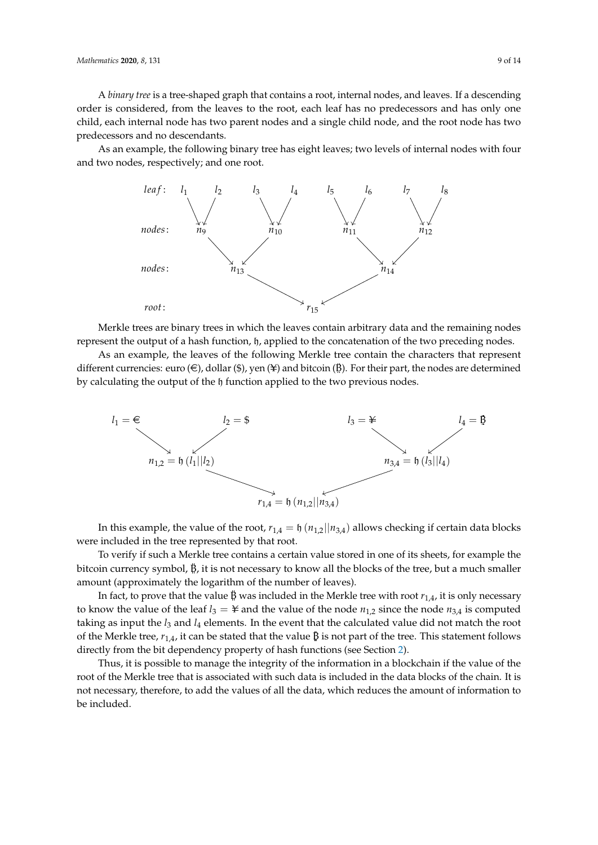A *binary tree* is a tree-shaped graph that contains a root, internal nodes, and leaves. If a descending order is considered, from the leaves to the root, each leaf has no predecessors and has only one child, each internal node has two parent nodes and a single child node, and the root node has two predecessors and no descendants.

As an example, the following binary tree has eight leaves; two levels of internal nodes with four and two nodes, respectively; and one root.



Merkle trees are binary trees in which the leaves contain arbitrary data and the remaining nodes represent the output of a hash function, h, applied to the concatenation of the two preceding nodes.

As an example, the leaves of the following Merkle tree contain the characters that represent different currencies: euro  $(\epsilon)$ , dollar  $(\epsilon)$ , yen  $(\pm)$  and bitcoin  $(\beta)$ . For their part, the nodes are determined by calculating the output of the h function applied to the two previous nodes.



In this example, the value of the root,  $r_{1,4} = \frac{h}{n_{1,2} |n_{3,4}}$  allows checking if certain data blocks were included in the tree represented by that root.

To verify if such a Merkle tree contains a certain value stored in one of its sheets, for example the bitcoin currency symbol,  $\ddot{B}$ , it is not necessary to know all the blocks of the tree, but a much smaller amount (approximately the logarithm of the number of leaves).

In fact, to prove that the value B was included in the Merkle tree with root  $r_{1,4}$ , it is only necessary to know the value of the leaf  $l_3 = \frac{1}{2}$  and the value of the node  $n_{1,2}$  since the node  $n_{3,4}$  is computed taking as input the *l*<sup>3</sup> and *l*<sup>4</sup> elements. In the event that the calculated value did not match the root of the Merkle tree,  $r_{1,4}$ , it can be stated that the value  $\beta$  is not part of the tree. This statement follows directly from the bit dependency property of hash functions (see Section [2\)](#page-1-0).

Thus, it is possible to manage the integrity of the information in a blockchain if the value of the root of the Merkle tree that is associated with such data is included in the data blocks of the chain. It is not necessary, therefore, to add the values of all the data, which reduces the amount of information to be included.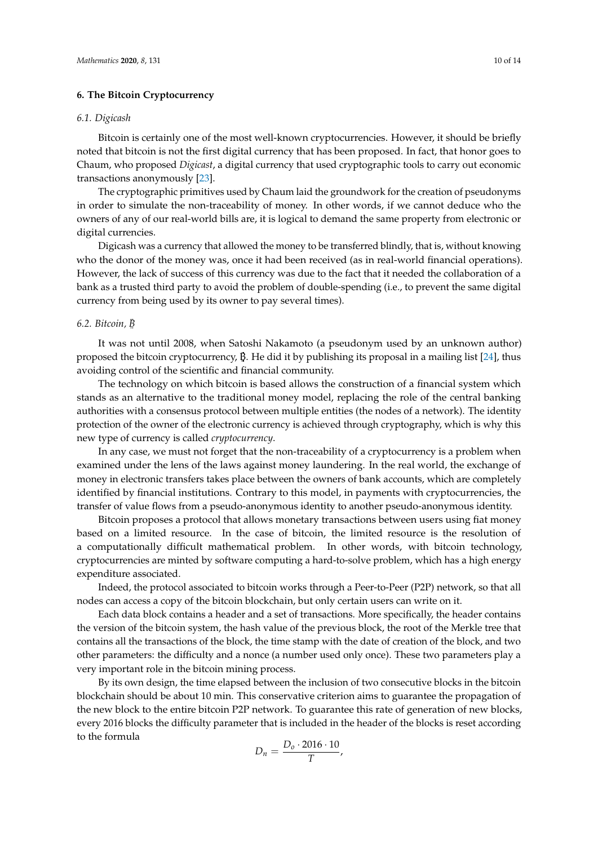## <span id="page-9-0"></span>**6. The Bitcoin Cryptocurrency**

#### *6.1. Digicash*

Bitcoin is certainly one of the most well-known cryptocurrencies. However, it should be briefly noted that bitcoin is not the first digital currency that has been proposed. In fact, that honor goes to Chaum, who proposed *Digicast*, a digital currency that used cryptographic tools to carry out economic transactions anonymously [\[23\]](#page-13-8).

The cryptographic primitives used by Chaum laid the groundwork for the creation of pseudonyms in order to simulate the non-traceability of money. In other words, if we cannot deduce who the owners of any of our real-world bills are, it is logical to demand the same property from electronic or digital currencies.

Digicash was a currency that allowed the money to be transferred blindly, that is, without knowing who the donor of the money was, once it had been received (as in real-world financial operations). However, the lack of success of this currency was due to the fact that it needed the collaboration of a bank as a trusted third party to avoid the problem of double-spending (i.e., to prevent the same digital currency from being used by its owner to pay several times).

## *6.2. Bitcoin, B*

It was not until 2008, when Satoshi Nakamoto (a pseudonym used by an unknown author) proposed the bitcoin cryptocurrency,  $\beta$ . He did it by publishing its proposal in a mailing list [\[24\]](#page-13-9), thus avoiding control of the scientific and financial community.

The technology on which bitcoin is based allows the construction of a financial system which stands as an alternative to the traditional money model, replacing the role of the central banking authorities with a consensus protocol between multiple entities (the nodes of a network). The identity protection of the owner of the electronic currency is achieved through cryptography, which is why this new type of currency is called *cryptocurrency*.

In any case, we must not forget that the non-traceability of a cryptocurrency is a problem when examined under the lens of the laws against money laundering. In the real world, the exchange of money in electronic transfers takes place between the owners of bank accounts, which are completely identified by financial institutions. Contrary to this model, in payments with cryptocurrencies, the transfer of value flows from a pseudo-anonymous identity to another pseudo-anonymous identity.

Bitcoin proposes a protocol that allows monetary transactions between users using fiat money based on a limited resource. In the case of bitcoin, the limited resource is the resolution of a computationally difficult mathematical problem. In other words, with bitcoin technology, cryptocurrencies are minted by software computing a hard-to-solve problem, which has a high energy expenditure associated.

Indeed, the protocol associated to bitcoin works through a Peer-to-Peer (P2P) network, so that all nodes can access a copy of the bitcoin blockchain, but only certain users can write on it.

Each data block contains a header and a set of transactions. More specifically, the header contains the version of the bitcoin system, the hash value of the previous block, the root of the Merkle tree that contains all the transactions of the block, the time stamp with the date of creation of the block, and two other parameters: the difficulty and a nonce (a number used only once). These two parameters play a very important role in the bitcoin mining process.

By its own design, the time elapsed between the inclusion of two consecutive blocks in the bitcoin blockchain should be about 10 min. This conservative criterion aims to guarantee the propagation of the new block to the entire bitcoin P2P network. To guarantee this rate of generation of new blocks, every 2016 blocks the difficulty parameter that is included in the header of the blocks is reset according to the formula

$$
D_n=\frac{D_o\cdot 2016\cdot 10}{T},
$$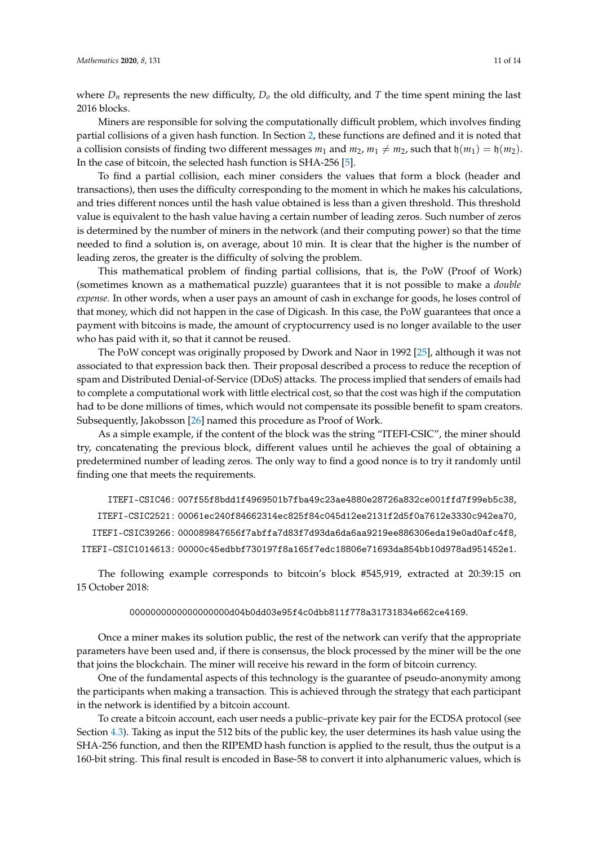where  $D_n$  represents the new difficulty,  $D_0$  the old difficulty, and  $T$  the time spent mining the last 2016 blocks.

Miners are responsible for solving the computationally difficult problem, which involves finding partial collisions of a given hash function. In Section [2,](#page-1-0) these functions are defined and it is noted that a collision consists of finding two different messages  $m_1$  and  $m_2$ ,  $m_1 \neq m_2$ , such that  $\mathfrak{h}(m_1) = \mathfrak{h}(m_2)$ . In the case of bitcoin, the selected hash function is SHA-256 [\[5\]](#page-12-4).

To find a partial collision, each miner considers the values that form a block (header and transactions), then uses the difficulty corresponding to the moment in which he makes his calculations, and tries different nonces until the hash value obtained is less than a given threshold. This threshold value is equivalent to the hash value having a certain number of leading zeros. Such number of zeros is determined by the number of miners in the network (and their computing power) so that the time needed to find a solution is, on average, about 10 min. It is clear that the higher is the number of leading zeros, the greater is the difficulty of solving the problem.

This mathematical problem of finding partial collisions, that is, the PoW (Proof of Work) (sometimes known as a mathematical puzzle) guarantees that it is not possible to make a *double expense*. In other words, when a user pays an amount of cash in exchange for goods, he loses control of that money, which did not happen in the case of Digicash. In this case, the PoW guarantees that once a payment with bitcoins is made, the amount of cryptocurrency used is no longer available to the user who has paid with it, so that it cannot be reused.

The PoW concept was originally proposed by Dwork and Naor in 1992 [\[25\]](#page-13-10), although it was not associated to that expression back then. Their proposal described a process to reduce the reception of spam and Distributed Denial-of-Service (DDoS) attacks. The process implied that senders of emails had to complete a computational work with little electrical cost, so that the cost was high if the computation had to be done millions of times, which would not compensate its possible benefit to spam creators. Subsequently, Jakobsson [\[26\]](#page-13-11) named this procedure as Proof of Work.

As a simple example, if the content of the block was the string "ITEFI-CSIC", the miner should try, concatenating the previous block, different values until he achieves the goal of obtaining a predetermined number of leading zeros. The only way to find a good nonce is to try it randomly until finding one that meets the requirements.

ITEFI-CSIC46 : 007f55f8bdd1f4969501b7fba49c23ae4880e28726a832ce001ffd7f99eb5c38, ITEFI-CSIC2521 : 00061ec240f84662314ec825f84c045d12ee2131f2d5f0a7612e3330c942ea70, ITEFI-CSIC39266 : 000089847656f7abffa7d83f7d93da6da6aa9219ee886306eda19e0ad0afc4f8, ITEFI-CSIC1014613 : 00000c45edbbf730197f8a165f7edc18806e71693da854bb10d978ad951452e1.

The following example corresponds to bitcoin's block #545,919, extracted at 20:39:15 on 15 October 2018:

#### 0000000000000000000d04b0dd03e95f4c0dbb811f778a31731834e662ce4169.

Once a miner makes its solution public, the rest of the network can verify that the appropriate parameters have been used and, if there is consensus, the block processed by the miner will be the one that joins the blockchain. The miner will receive his reward in the form of bitcoin currency.

One of the fundamental aspects of this technology is the guarantee of pseudo-anonymity among the participants when making a transaction. This is achieved through the strategy that each participant in the network is identified by a bitcoin account.

To create a bitcoin account, each user needs a public–private key pair for the ECDSA protocol (see Section [4.3\)](#page-5-0). Taking as input the 512 bits of the public key, the user determines its hash value using the SHA-256 function, and then the RIPEMD hash function is applied to the result, thus the output is a 160-bit string. This final result is encoded in Base-58 to convert it into alphanumeric values, which is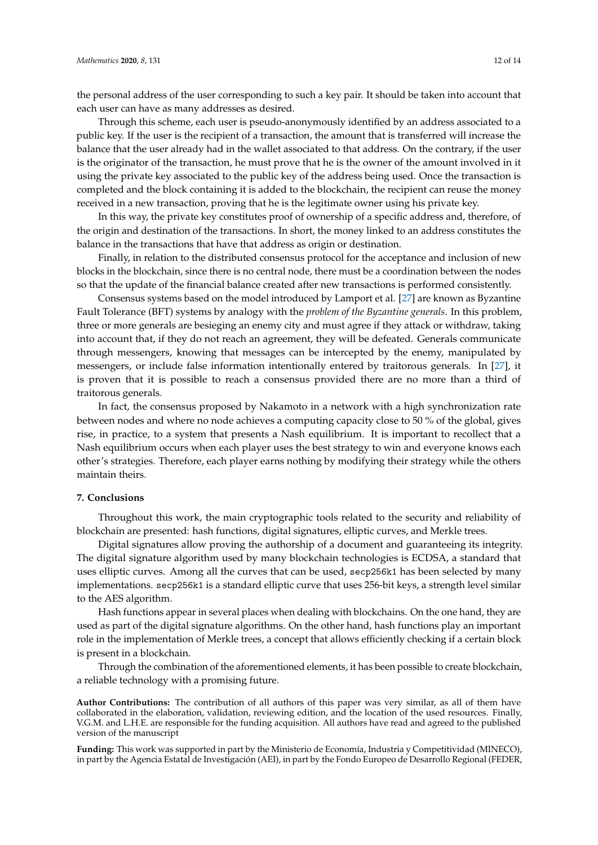the personal address of the user corresponding to such a key pair. It should be taken into account that each user can have as many addresses as desired.

Through this scheme, each user is pseudo-anonymously identified by an address associated to a public key. If the user is the recipient of a transaction, the amount that is transferred will increase the balance that the user already had in the wallet associated to that address. On the contrary, if the user is the originator of the transaction, he must prove that he is the owner of the amount involved in it using the private key associated to the public key of the address being used. Once the transaction is completed and the block containing it is added to the blockchain, the recipient can reuse the money received in a new transaction, proving that he is the legitimate owner using his private key.

In this way, the private key constitutes proof of ownership of a specific address and, therefore, of the origin and destination of the transactions. In short, the money linked to an address constitutes the balance in the transactions that have that address as origin or destination.

Finally, in relation to the distributed consensus protocol for the acceptance and inclusion of new blocks in the blockchain, since there is no central node, there must be a coordination between the nodes so that the update of the financial balance created after new transactions is performed consistently.

Consensus systems based on the model introduced by Lamport et al. [\[27\]](#page-13-12) are known as Byzantine Fault Tolerance (BFT) systems by analogy with the *problem of the Byzantine generals*. In this problem, three or more generals are besieging an enemy city and must agree if they attack or withdraw, taking into account that, if they do not reach an agreement, they will be defeated. Generals communicate through messengers, knowing that messages can be intercepted by the enemy, manipulated by messengers, or include false information intentionally entered by traitorous generals. In [\[27\]](#page-13-12), it is proven that it is possible to reach a consensus provided there are no more than a third of traitorous generals.

In fact, the consensus proposed by Nakamoto in a network with a high synchronization rate between nodes and where no node achieves a computing capacity close to 50 % of the global, gives rise, in practice, to a system that presents a Nash equilibrium. It is important to recollect that a Nash equilibrium occurs when each player uses the best strategy to win and everyone knows each other's strategies. Therefore, each player earns nothing by modifying their strategy while the others maintain theirs.

## <span id="page-11-0"></span>**7. Conclusions**

Throughout this work, the main cryptographic tools related to the security and reliability of blockchain are presented: hash functions, digital signatures, elliptic curves, and Merkle trees.

Digital signatures allow proving the authorship of a document and guaranteeing its integrity. The digital signature algorithm used by many blockchain technologies is ECDSA, a standard that uses elliptic curves. Among all the curves that can be used, secp256k1 has been selected by many implementations. secp256k1 is a standard elliptic curve that uses 256-bit keys, a strength level similar to the AES algorithm.

Hash functions appear in several places when dealing with blockchains. On the one hand, they are used as part of the digital signature algorithms. On the other hand, hash functions play an important role in the implementation of Merkle trees, a concept that allows efficiently checking if a certain block is present in a blockchain.

Through the combination of the aforementioned elements, it has been possible to create blockchain, a reliable technology with a promising future.

**Author Contributions:** The contribution of all authors of this paper was very similar, as all of them have collaborated in the elaboration, validation, reviewing edition, and the location of the used resources. Finally, V.G.M. and L.H.E. are responsible for the funding acquisition. All authors have read and agreed to the published version of the manuscript

**Funding:** This work was supported in part by the Ministerio de Economía, Industria y Competitividad (MINECO), in part by the Agencia Estatal de Investigación (AEI), in part by the Fondo Europeo de Desarrollo Regional (FEDER,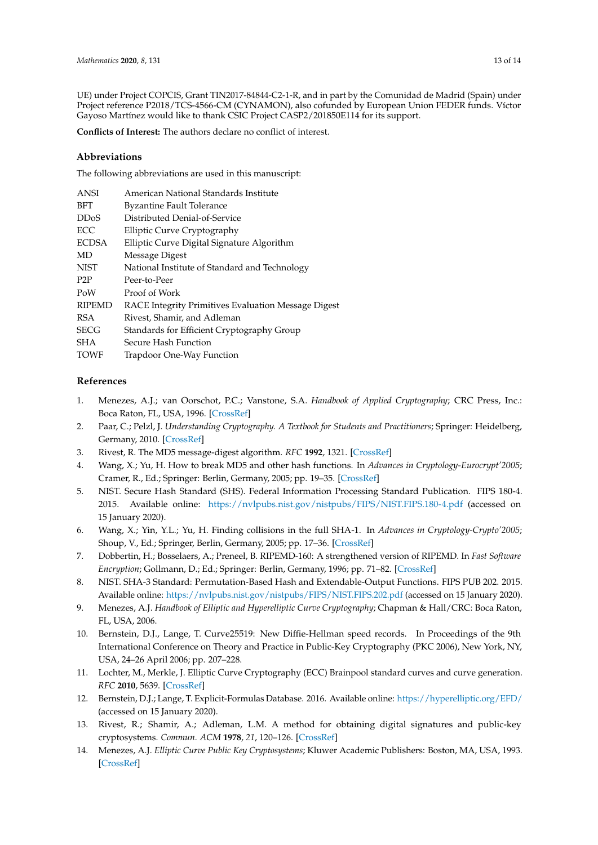UE) under Project COPCIS, Grant TIN2017-84844-C2-1-R, and in part by the Comunidad de Madrid (Spain) under Project reference P2018/TCS-4566-CM (CYNAMON), also cofunded by European Union FEDER funds. Víctor Gayoso Martínez would like to thank CSIC Project CASP2/201850E114 for its support.

**Conflicts of Interest:** The authors declare no conflict of interest.

## **Abbreviations**

The following abbreviations are used in this manuscript:

| <b>ANSI</b>       | American National Standards Institute               |
|-------------------|-----------------------------------------------------|
| <b>BFT</b>        | <b>Byzantine Fault Tolerance</b>                    |
| DD <sub>o</sub> S | Distributed Denial-of-Service                       |
| ECC               | Elliptic Curve Cryptography                         |
| <b>ECDSA</b>      | Elliptic Curve Digital Signature Algorithm          |
| MD                | Message Digest                                      |
| <b>NIST</b>       | National Institute of Standard and Technology       |
| P <sub>2</sub> P  | Peer-to-Peer                                        |
| PoW               | Proof of Work                                       |
| <b>RIPEMD</b>     | RACE Integrity Primitives Evaluation Message Digest |
| <b>RSA</b>        | Rivest, Shamir, and Adleman                         |
| <b>SECG</b>       | Standards for Efficient Cryptography Group          |
| <b>SHA</b>        | Secure Hash Function                                |
| <b>TOWF</b>       | Trapdoor One-Way Function                           |
|                   |                                                     |

## **References**

- <span id="page-12-0"></span>1. Menezes, A.J.; van Oorschot, P.C.; Vanstone, S.A. *Handbook of Applied Cryptography*; CRC Press, Inc.: Boca Raton, FL, USA, 1996. [\[CrossRef\]](http://dx.doi.org/10.1201/9780429466335)
- <span id="page-12-1"></span>2. Paar, C.; Pelzl, J. *Understanding Cryptography. A Textbook for Students and Practitioners*; Springer: Heidelberg, Germany, 2010. [\[CrossRef\]](http://dx.doi.org/10.1007/978-3-642-04101-3)
- <span id="page-12-2"></span>3. Rivest, R. The MD5 message-digest algorithm. *RFC* **1992**, 1321. [\[CrossRef\]](http://dx.doi.org/10.17487/RFC1321)
- <span id="page-12-3"></span>4. Wang, X.; Yu, H. How to break MD5 and other hash functions. In *Advances in Cryptology-Eurocrypt'2005*; Cramer, R., Ed.; Springer: Berlin, Germany, 2005; pp. 19–35. [\[CrossRef\]](http://dx.doi.org/10.1007/11426639_2)
- <span id="page-12-4"></span>5. NIST. Secure Hash Standard (SHS). Federal Information Processing Standard Publication. FIPS 180-4. 2015. Available online: <https://nvlpubs.nist.gov/nistpubs/FIPS/NIST.FIPS.180-4.pdf> (accessed on 15 January 2020).
- <span id="page-12-5"></span>6. Wang, X.; Yin, Y.L.; Yu, H. Finding collisions in the full SHA-1. In *Advances in Cryptology-Crypto'2005*; Shoup, V., Ed.; Springer, Berlin, Germany, 2005; pp. 17–36. [\[CrossRef\]](http://dx.doi.org/10.1007/11535218_2.)
- <span id="page-12-6"></span>7. Dobbertin, H.; Bosselaers, A.; Preneel, B. RIPEMD-160: A strengthened version of RIPEMD. In *Fast Software Encryption*; Gollmann, D.; Ed.; Springer: Berlin, Germany, 1996; pp. 71–82. [\[CrossRef\]](http://dx.doi.org/10.1007/3-540-60865-6_44)
- <span id="page-12-7"></span>8. NIST. SHA-3 Standard: Permutation-Based Hash and Extendable-Output Functions. FIPS PUB 202. 2015. Available online: <https://nvlpubs.nist.gov/nistpubs/FIPS/NIST.FIPS.202.pdf> (accessed on 15 January 2020).
- <span id="page-12-8"></span>9. Menezes, A.J. *Handbook of Elliptic and Hyperelliptic Curve Cryptography*; Chapman & Hall/CRC: Boca Raton, FL, USA, 2006.
- <span id="page-12-9"></span>10. Bernstein, D.J., Lange, T. Curve25519: New Diffie-Hellman speed records. In Proceedings of the 9th International Conference on Theory and Practice in Public-Key Cryptography (PKC 2006), New York, NY, USA, 24–26 April 2006; pp. 207–228.
- <span id="page-12-10"></span>11. Lochter, M., Merkle, J. Elliptic Curve Cryptography (ECC) Brainpool standard curves and curve generation. *RFC* **2010**, 5639. [\[CrossRef\]](http://dx.doi.org/10.17487/RFC5639)
- <span id="page-12-11"></span>12. Bernstein, D.J.; Lange, T. Explicit-Formulas Database. 2016. Available online: <https://hyperelliptic.org/EFD/> (accessed on 15 January 2020).
- <span id="page-12-12"></span>13. Rivest, R.; Shamir, A.; Adleman, L.M. A method for obtaining digital signatures and public-key cryptosystems. *Commun. ACM* **1978**, *21*, 120–126. [\[CrossRef\]](http://dx.doi.org/10.1145/359340.359342)
- <span id="page-12-13"></span>14. Menezes, A.J. *Elliptic Curve Public Key Cryptosystems*; Kluwer Academic Publishers: Boston, MA, USA, 1993. [\[CrossRef\]](http://dx.doi.org/10.1007/978-1-4615-3198-2)